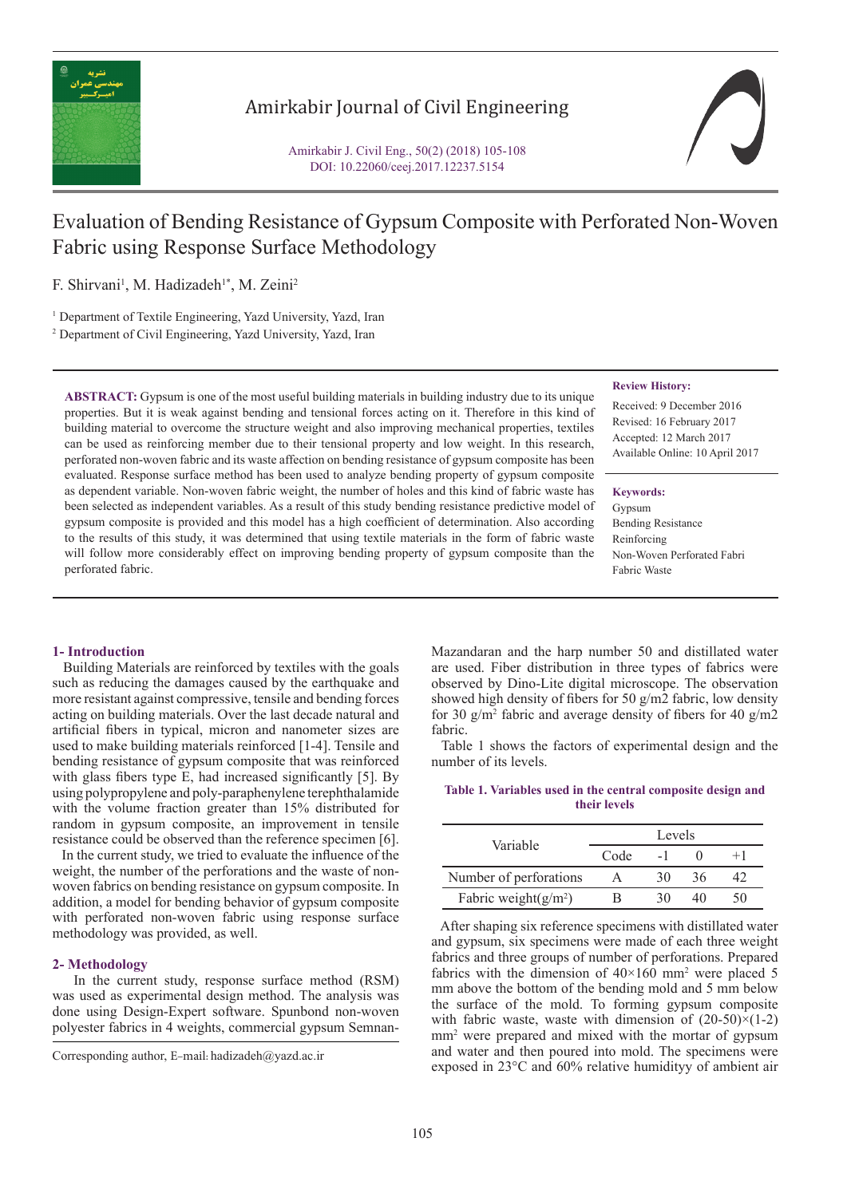

## Amirkabir Journal of Civil Engineering

Amirkabir J. Civil Eng., 50(2) (2018) 105-108 DOI: 10.22060/ceej.2017.12237.5154

# Evaluation of Bending Resistance of Gypsum Composite with Perforated Non-Woven Fabric using Response Surface Methodology

F. Shirvani<sup>1</sup>, M. Hadizadeh<sup>1\*</sup>, M. Zeini<sup>2</sup>

<sup>1</sup> Department of Textile Engineering, Yazd University, Yazd, Iran

2 Department of Civil Engineering, Yazd University, Yazd, Iran

**ABSTRACT:** Gypsum is one of the most useful building materials in building industry due to its unique properties. But it is weak against bending and tensional forces acting on it. Therefore in this kind of building material to overcome the structure weight and also improving mechanical properties, textiles can be used as reinforcing member due to their tensional property and low weight. In this research, perforated non-woven fabric and its waste affection on bending resistance of gypsum composite has been evaluated. Response surface method has been used to analyze bending property of gypsum composite as dependent variable. Non-woven fabric weight, the number of holes and this kind of fabric waste has been selected as independent variables. As a result of this study bending resistance predictive model of gypsum composite is provided and this model has a high coefficient of determination. Also according to the results of this study, it was determined that using textile materials in the form of fabric waste will follow more considerably effect on improving bending property of gypsum composite than the perforated fabric.

#### **Review History:**

Received: 9 December 2016 Revised: 16 February 2017 Accepted: 12 March 2017 Available Online: 10 April 2017

#### **Keywords:**

Gypsum Bending Resistance Reinforcing Non-Woven Perforated Fabri Fabric Waste

### **1- Introduction**

 Building Materials are reinforced by textiles with the goals such as reducing the damages caused by the earthquake and more resistant against compressive, tensile and bending forces acting on building materials. Over the last decade natural and artificial fibers in typical, micron and nanometer sizes are used to make building materials reinforced [1-4]. Tensile and bending resistance of gypsum composite that was reinforced with glass fibers type E, had increased significantly [5]. By using polypropylene and poly-paraphenylene terephthalamide with the volume fraction greater than 15% distributed for random in gypsum composite, an improvement in tensile resistance could be observed than the reference specimen [6].

 In the current study, we tried to evaluate the influence of the weight, the number of the perforations and the waste of nonwoven fabrics on bending resistance on gypsum composite. In addition, a model for bending behavior of gypsum composite with perforated non-woven fabric using response surface methodology was provided, as well.

#### **2- Methodology**

 In the current study, response surface method (RSM) was used as experimental design method. The analysis was done using Design-Expert software. Spunbond non-woven polyester fabrics in 4 weights, commercial gypsum SemnanMazandaran and the harp number 50 and distillated water are used. Fiber distribution in three types of fabrics were observed by Dino-Lite digital microscope. The observation showed high density of fibers for 50 g/m2 fabric, low density for 30  $g/m^2$  fabric and average density of fibers for 40  $g/m^2$ fabric.

 Table 1 shows the factors of experimental design and the number of its levels.

**Table 1. Variables used in the central composite design and their levels**

| Variable                | Levels |    |    |      |  |
|-------------------------|--------|----|----|------|--|
|                         | Code   |    |    | $+1$ |  |
| Number of perforations  |        | 30 | 36 |      |  |
| Fabric weight $(g/m^2)$ | к      |    |    | ۲0   |  |

 After shaping six reference specimens with distillated water and gypsum, six specimens were made of each three weight fabrics and three groups of number of perforations. Prepared fabrics with the dimension of  $40\times160$  mm<sup>2</sup> were placed 5 mm above the bottom of the bending mold and 5 mm below the surface of the mold. To forming gypsum composite with fabric waste, waste with dimension of  $(20-50)\times(1-2)$ mm2 were prepared and mixed with the mortar of gypsum and water and then poured into mold. The specimens were exposed in 23°C and 60% relative humidityy of ambient air

Corresponding author, E-mail: hadizadeh@yazd.ac.ir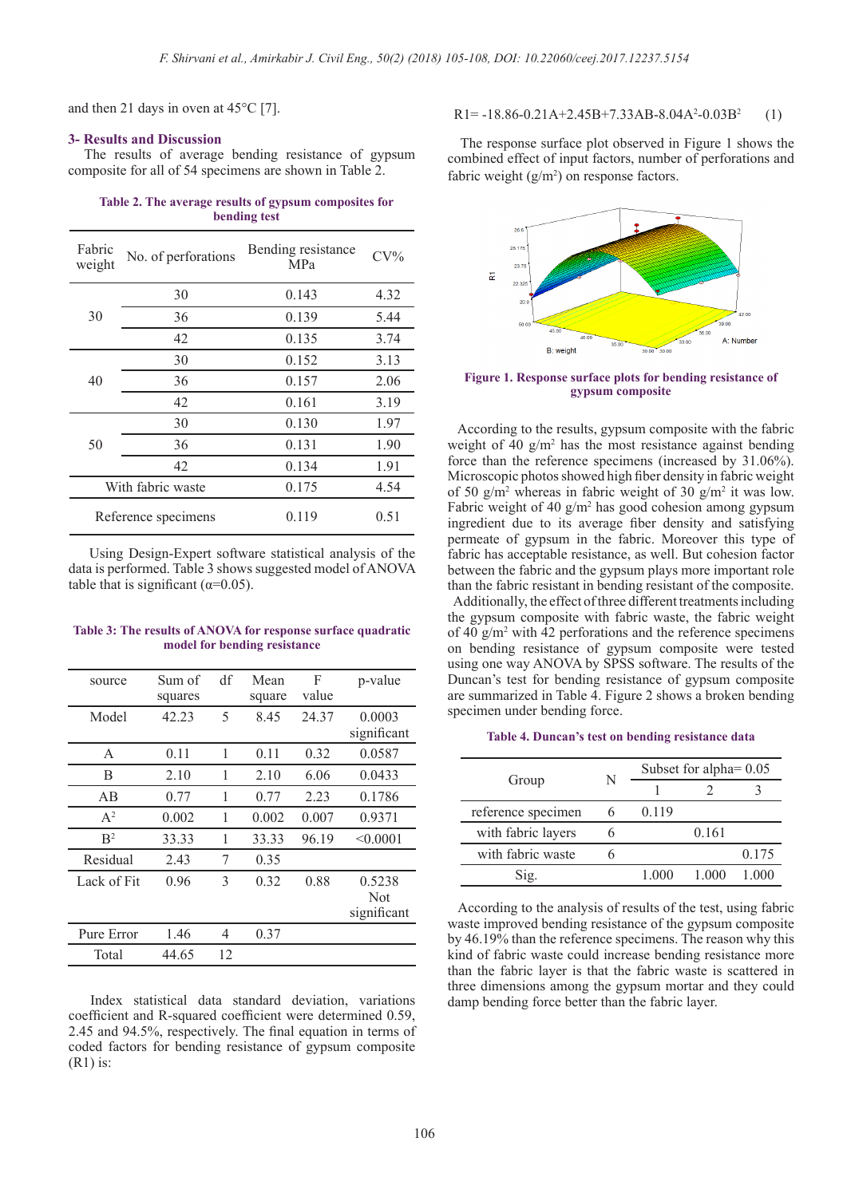and then 21 days in oven at 45°C [7].

#### **3- Results and Discussion**

 The results of average bending resistance of gypsum composite for all of 54 specimens are shown in Table 2.

| Table 2. The average results of gypsum composites for |  |
|-------------------------------------------------------|--|
| bending test                                          |  |

| Fabric<br>weight | No. of perforations | Bending resistance<br><b>MPa</b> | $CV\%$ |
|------------------|---------------------|----------------------------------|--------|
|                  | 30                  | 0.143                            | 4.32   |
| 30               | 36                  | 0.139                            | 5.44   |
|                  | 42                  | 0.135                            | 3.74   |
| 40               | 30                  | 0.152                            | 3.13   |
|                  | 36                  | 0.157                            | 2.06   |
|                  | 42                  | 0.161                            | 3.19   |
|                  | 30                  | 0.130                            | 1.97   |
| 50               | 36                  | 0.131                            | 1.90   |
|                  | 42                  | 0.134                            | 1.91   |
|                  | With fabric waste   | 0.175                            | 4.54   |
|                  | Reference specimens | 0.119                            | 0.51   |

 Using Design-Expert software statistical analysis of the data is performed. Table 3 shows suggested model of ANOVA table that is significant ( $\alpha$ =0.05).

| Table 3: The results of ANOVA for response surface quadratic |
|--------------------------------------------------------------|
| model for bending resistance                                 |

| source         | Sum of  | df | Mean   | F     | p-value     |
|----------------|---------|----|--------|-------|-------------|
|                | squares |    | square | value |             |
| Model          | 42.23   | 5  | 8.45   | 24.37 | 0.0003      |
|                |         |    |        |       | significant |
| A              | 0.11    | 1  | 0.11   | 0.32  | 0.0587      |
| B              | 2.10    | 1  | 2.10   | 6.06  | 0.0433      |
| AB             | 0.77    | 1  | 0.77   | 2.23  | 0.1786      |
| $A^2$          | 0.002   | 1  | 0.002  | 0.007 | 0.9371      |
| B <sup>2</sup> | 33.33   | 1  | 33.33  | 96.19 | < 0.0001    |
| Residual       | 2.43    | 7  | 0.35   |       |             |
| Lack of Fit    | 0.96    | 3  | 0.32   | 0.88  | 0.5238      |
|                |         |    |        |       | <b>Not</b>  |
|                |         |    |        |       | significant |
| Pure Error     | 1.46    | 4  | 0.37   |       |             |
| Total          | 44.65   | 12 |        |       |             |

 Index statistical data standard deviation, variations coefficient and R-squared coefficient were determined 0.59, 2.45 and 94.5%, respectively. The final equation in terms of coded factors for bending resistance of gypsum composite (R1) is:

#### $R1 = -18.86 - 0.21A + 2.45B + 7.33AB - 8.04A^2 - 0.03B^2$  (1)

 The response surface plot observed in Figure 1 shows the combined effect of input factors, number of perforations and fabric weight  $(g/m<sup>2</sup>)$  on response factors.



**Figure 1. Response surface plots for bending resistance of gypsum composite**

 According to the results, gypsum composite with the fabric weight of 40  $g/m^2$  has the most resistance against bending force than the reference specimens (increased by 31.06%). Microscopic photos showed high fiber density in fabric weight of 50  $g/m^2$  whereas in fabric weight of 30  $g/m^2$  it was low. Fabric weight of 40  $g/m^2$  has good cohesion among gypsum ingredient due to its average fiber density and satisfying permeate of gypsum in the fabric. Moreover this type of fabric has acceptable resistance, as well. But cohesion factor between the fabric and the gypsum plays more important role than the fabric resistant in bending resistant of the composite.

 Additionally, the effect of three different treatments including the gypsum composite with fabric waste, the fabric weight of 40 g/m2 with 42 perforations and the reference specimens on bending resistance of gypsum composite were tested using one way ANOVA by SPSS software. The results of the Duncan's test for bending resistance of gypsum composite are summarized in Table 4. Figure 2 shows a broken bending specimen under bending force.

#### **Table 4. Duncan's test on bending resistance data**

|                    | N | Subset for alpha $= 0.05$ |       |       |  |
|--------------------|---|---------------------------|-------|-------|--|
| Group              |   |                           |       |       |  |
| reference specimen |   | 0.119                     |       |       |  |
| with fabric layers |   |                           | 0.161 |       |  |
| with fabric waste  | n |                           |       | 0.175 |  |
| $\mathrm{Sig}$     |   | 1 000                     | 1.000 | 1 000 |  |

 According to the analysis of results of the test, using fabric waste improved bending resistance of the gypsum composite by 46.19% than the reference specimens. The reason why this kind of fabric waste could increase bending resistance more than the fabric layer is that the fabric waste is scattered in three dimensions among the gypsum mortar and they could damp bending force better than the fabric layer.